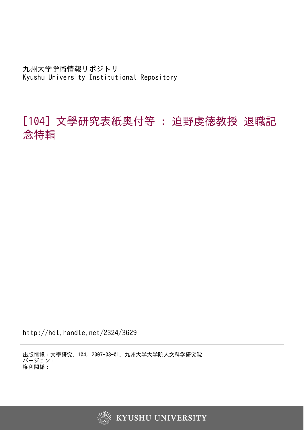九州大学学術情報リポジトリ Kyushu University Institutional Repository

## [104] 文學研究表紙奥付等 : 迫野虔徳教授 退職記 念特輯

http://hdl.handle.net/2324/3629

出版情報:文學研究. 104, 2007-03-01. 九州大学大学院人文科学研究院 バージョン: 権利関係:



**KYUSHU UNIVERSITY**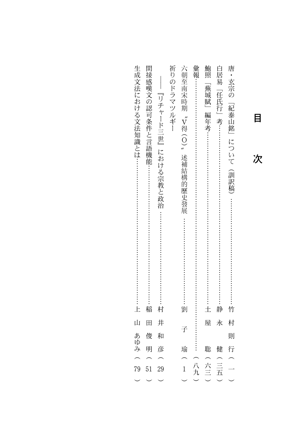| ŀ.   | 間接感嘆文の認可条件と言語機能…………………………………………………稲 | 『リチャード三世』における宗教と政治 …………………………………………村 | 祈りのドラマツルギー | 六朝至南宋時期 〝Ⅴ得(O)〟<br>述補結構的歷史發展 |     | 鮑照 | 白居易<br>「任氏行」考…………………………………………………………………静 | 唐・玄宗の「紀泰山銘」について<br>(訓訳稿) |
|------|-------------------------------------|--------------------------------------|------------|------------------------------|-----|----|-----------------------------------------|--------------------------|
| Щ    | 田                                   | 井                                    |            |                              |     | 屋  | 永                                       | 村                        |
|      | 俊                                   | 和                                    |            | 子                            |     |    |                                         | 則                        |
|      |                                     |                                      |            |                              |     |    |                                         |                          |
| あゆみ( | 明                                   | 彦                                    |            | 瑜                            |     | 聡  | 健                                       | 行                        |
| 79   | 51                                  | 29                                   |            | $\frac{1}{1}$                | (八九 |    | $\frac{1}{\overrightarrow{H}}$          |                          |
|      |                                     |                                      |            |                              |     | 台三 |                                         |                          |
|      |                                     |                                      |            |                              |     |    |                                         |                          |

 $\blacksquare$ 

次